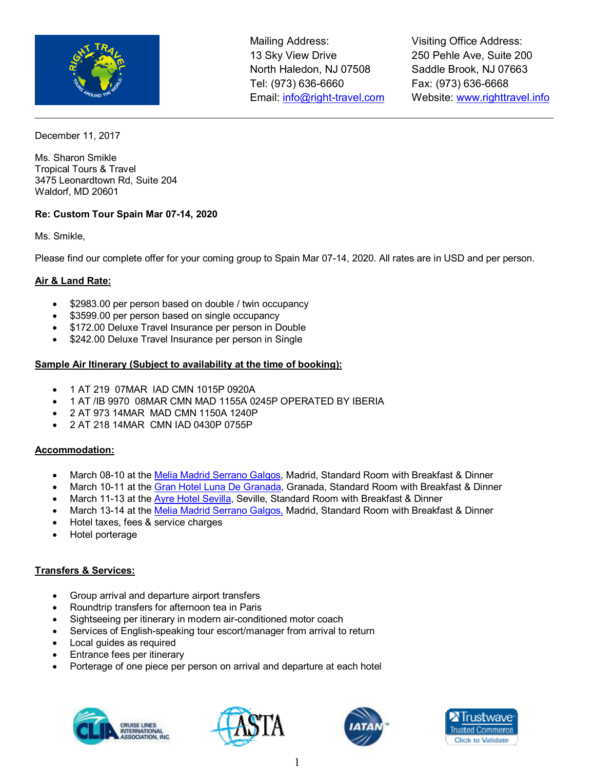

 $\_$  , and the set of the set of the set of the set of the set of the set of the set of the set of the set of the set of the set of the set of the set of the set of the set of the set of the set of the set of the set of th

Visiting Office Address: 250 Pehle Ave, Suite 200 Saddle Brook, NJ 07663 Fax: (973) 636-6668 Website: www.righttravel.info

December 11, 2017

Ms. Sharon Smikle Tropical Tours & Travel 3475 Leonardtown Rd, Suite 204 Waldorf, MD 20601

# **Re: Custom Tour Spain Mar 07-14, 2020**

Ms. Smikle,

Please find our complete offer for your coming group to Spain Mar 07-14, 2020. All rates are in USD and per person.

## **Air & Land Rate:**

- \$2983.00 per person based on double / twin occupancy
- \$3599.00 per person based on single occupancy
- \$172.00 Deluxe Travel Insurance per person in Double
- \$242.00 Deluxe Travel Insurance per person in Single

### **Sample Air Itinerary (Subject to availability at the time of booking):**

- 1 AT 219 07MAR IAD CMN 1015P 0920A
- 1 AT /IB 9970 08MAR CMN MAD 1155A 0245P OPERATED BY IBERIA
- 2 AT 973 14MAR MAD CMN 1150A 1240P
- 2 AT 218 14MAR CMN IAD 0430P 0755P

### **Accommodation:**

- March 08-10 at the Melia Madrid Serrano Galgos, Madrid, Standard Room with Breakfast & Dinner
- March 10-11 at the Gran Hotel Luna De Granada, Granada, Standard Room with Breakfast & Dinner
- March 11-13 at the Ayre Hotel Sevilla, Seville, Standard Room with Breakfast & Dinner
- March 13-14 at the Melia Madrid Serrano Galgos, Madrid, Standard Room with Breakfast & Dinner
- Hotel taxes, fees & service charges
- Hotel porterage

### **Transfers & Services:**

- Group arrival and departure airport transfers
- Roundtrip transfers for afternoon tea in Paris
- Sightseeing per itinerary in modern air-conditioned motor coach
- Services of English-speaking tour escort/manager from arrival to return
- Local quides as required
- Entrance fees per itinerary
- Porterage of one piece per person on arrival and departure at each hotel







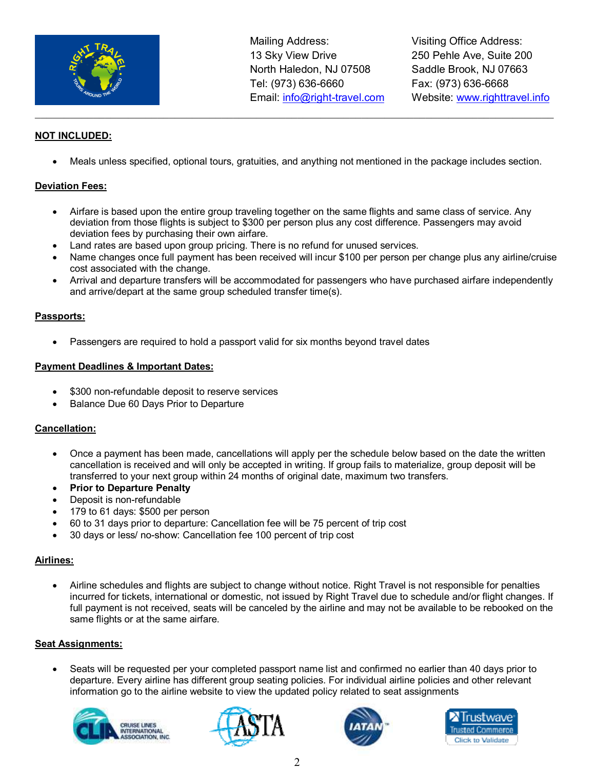

Visiting Office Address: 250 Pehle Ave, Suite 200 Saddle Brook, NJ 07663 Fax: (973) 636-6668 Website: www.righttravel.info

# **NOT INCLUDED:**

• Meals unless specified, optional tours, gratuities, and anything not mentioned in the package includes section.

 $\_$  , and the set of the set of the set of the set of the set of the set of the set of the set of the set of the set of the set of the set of the set of the set of the set of the set of the set of the set of the set of th

### **Deviation Fees:**

- Airfare is based upon the entire group traveling together on the same flights and same class of service. Any deviation from those flights is subject to \$300 per person plus any cost difference. Passengers may avoid deviation fees by purchasing their own airfare.
- Land rates are based upon group pricing. There is no refund for unused services.
- Name changes once full payment has been received will incur \$100 per person per change plus any airline/cruise cost associated with the change.
- Arrival and departure transfers will be accommodated for passengers who have purchased airfare independently and arrive/depart at the same group scheduled transfer time(s).

### **Passports:**

Passengers are required to hold a passport valid for six months beyond travel dates

### **Payment Deadlines & Important Dates:**

- \$300 non-refundable deposit to reserve services
- Balance Due 60 Days Prior to Departure

#### **Cancellation:**

- Once a payment has been made, cancellations will apply per the schedule below based on the date the written cancellation is received and will only be accepted in writing. If group fails to materialize, group deposit will be transferred to your next group within 24 months of original date, maximum two transfers.
- **Prior to Departure Penalty**
- Deposit is non-refundable
- 179 to 61 days: \$500 per person
- 60 to 31 days prior to departure: Cancellation fee will be 75 percent of trip cost
- 30 days or less/ no-show: Cancellation fee 100 percent of trip cost

### **Airlines:**

• Airline schedules and flights are subject to change without notice. Right Travel is not responsible for penalties incurred for tickets, international or domestic, not issued by Right Travel due to schedule and/or flight changes. If full payment is not received, seats will be canceled by the airline and may not be available to be rebooked on the same flights or at the same airfare.

### **Seat Assignments:**

• Seats will be requested per your completed passport name list and confirmed no earlier than 40 days prior to departure. Every airline has different group seating policies. For individual airline policies and other relevant information go to the airline website to view the updated policy related to seat assignments







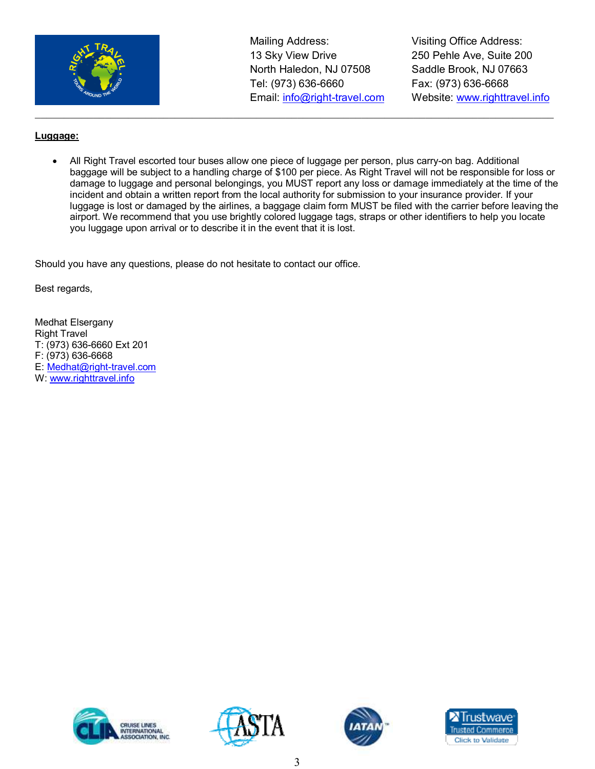

Visiting Office Address: 250 Pehle Ave, Suite 200 Saddle Brook, NJ 07663 Fax: (973) 636-6668 Website: www.righttravel.info

# **Luggage:**

• All Right Travel escorted tour buses allow one piece of luggage per person, plus carry-on bag. Additional baggage will be subject to a handling charge of \$100 per piece. As Right Travel will not be responsible for loss or damage to luggage and personal belongings, you MUST report any loss or damage immediately at the time of the incident and obtain a written report from the local authority for submission to your insurance provider. If your luggage is lost or damaged by the airlines, a baggage claim form MUST be filed with the carrier before leaving the airport. We recommend that you use brightly colored luggage tags, straps or other identifiers to help you locate you luggage upon arrival or to describe it in the event that it is lost.

 $\_$  , and the set of the set of the set of the set of the set of the set of the set of the set of the set of the set of the set of the set of the set of the set of the set of the set of the set of the set of the set of th

Should you have any questions, please do not hesitate to contact our office.

Best regards,

Medhat Elsergany Right Travel T: (973) 636-6660 Ext 201 F: (973) 636-6668 E: Medhat@right-travel.com W: www.righttravel.info







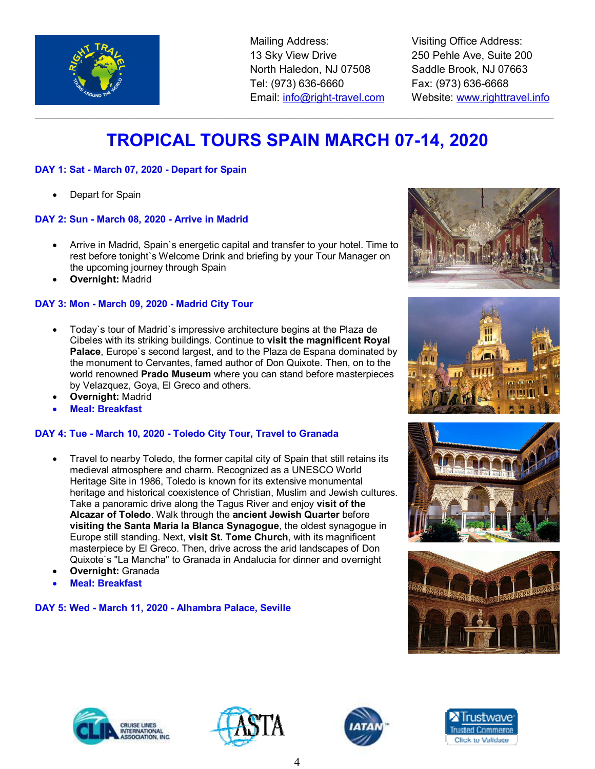

Visiting Office Address: 250 Pehle Ave, Suite 200 Saddle Brook, NJ 07663 Fax: (973) 636-6668 Website: www.righttravel.info

# **TROPICAL TOURS SPAIN MARCH 07-14, 2020**

 $\_$  , and the set of the set of the set of the set of the set of the set of the set of the set of the set of the set of the set of the set of the set of the set of the set of the set of the set of the set of the set of th

# **DAY 1: Sat - March 07, 2020 - Depart for Spain**

Depart for Spain

# **DAY 2: Sun - March 08, 2020 - Arrive in Madrid**

- Arrive in Madrid, Spain`s energetic capital and transfer to your hotel. Time to rest before tonight`s Welcome Drink and briefing by your Tour Manager on the upcoming journey through Spain
- **Overnight:** Madrid

# **DAY 3: Mon - March 09, 2020 - Madrid City Tour**

- Today`s tour of Madrid`s impressive architecture begins at the Plaza de Cibeles with its striking buildings. Continue to **visit the magnificent Royal**  Palace, Europe's second largest, and to the Plaza de Espana dominated by the monument to Cervantes, famed author of Don Quixote. Then, on to the world renowned **Prado Museum** where you can stand before masterpieces by Velazquez, Goya, El Greco and others.
- **Overnight:** Madrid
- **Meal: Breakfast**

# **DAY 4: Tue - March 10, 2020 - Toledo City Tour, Travel to Granada**

- Travel to nearby Toledo, the former capital city of Spain that still retains its medieval atmosphere and charm. Recognized as a UNESCO World Heritage Site in 1986, Toledo is known for its extensive monumental heritage and historical coexistence of Christian, Muslim and Jewish cultures. Take a panoramic drive along the Tagus River and enjoy **visit of the Alcazar of Toledo**. Walk through the **ancient Jewish Quarter** before **visiting the Santa Maria la Blanca Synagogue**, the oldest synagogue in Europe still standing. Next, **visit St. Tome Church**, with its magnificent masterpiece by El Greco. Then, drive across the arid landscapes of Don Quixote`s "La Mancha" to Granada in Andalucia for dinner and overnight
- **Overnight:** Granada
- **Meal: Breakfast**

### **DAY 5: Wed - March 11, 2020 - Alhambra Palace, Seville**















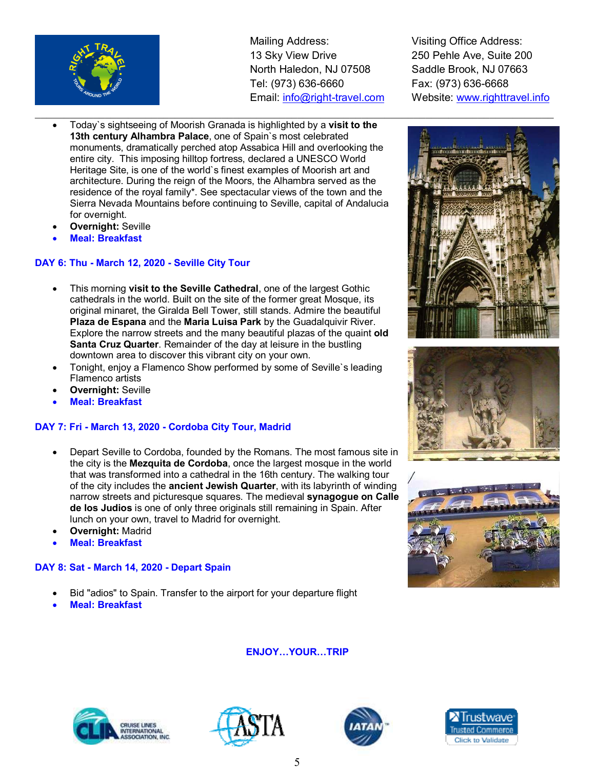

- Today`s sightseeing of Moorish Granada is highlighted by a **visit to the 13th century Alhambra Palace**, one of Spain`s most celebrated monuments, dramatically perched atop Assabica Hill and overlooking the entire city. This imposing hilltop fortress, declared a UNESCO World Heritage Site, is one of the world`s finest examples of Moorish art and architecture. During the reign of the Moors, the Alhambra served as the residence of the royal family\*. See spectacular views of the town and the Sierra Nevada Mountains before continuing to Seville, capital of Andalucia for overnight.
- **Overnight:** Seville
- **Meal: Breakfast**

## **DAY 6: Thu - March 12, 2020 - Seville City Tour**

- This morning **visit to the Seville Cathedral**, one of the largest Gothic cathedrals in the world. Built on the site of the former great Mosque, its original minaret, the Giralda Bell Tower, still stands. Admire the beautiful **Plaza de Espana** and the **Maria Luisa Park** by the Guadalquivir River. Explore the narrow streets and the many beautiful plazas of the quaint **old Santa Cruz Quarter**. Remainder of the day at leisure in the bustling downtown area to discover this vibrant city on your own.
- Tonight, enjoy a Flamenco Show performed by some of Seville`s leading Flamenco artists
- **Overnight:** Seville
- **Meal: Breakfast**

### **DAY 7: Fri - March 13, 2020 - Cordoba City Tour, Madrid**

- Depart Seville to Cordoba, founded by the Romans. The most famous site in the city is the **Mezquita de Cordoba**, once the largest mosque in the world that was transformed into a cathedral in the 16th century. The walking tour of the city includes the **ancient Jewish Quarter**, with its labyrinth of winding narrow streets and picturesque squares. The medieval **synagogue on Calle de los Judios** is one of only three originals still remaining in Spain. After lunch on your own, travel to Madrid for overnight.
- **Overnight:** Madrid
- **Meal: Breakfast**

### **DAY 8: Sat - March 14, 2020 - Depart Spain**

- Bid "adios" to Spain. Transfer to the airport for your departure flight
- **Meal: Breakfast**

Visiting Office Address: 250 Pehle Ave, Suite 200 Saddle Brook, NJ 07663 Fax: (973) 636-6668 Website: www.righttravel.info







# **ENJOY...YOUR...TRIP**